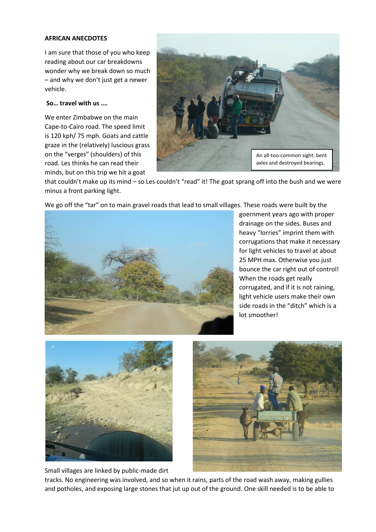## **AFRICAN ANECDOTES**

I am sure that those of you who keep reading about our car breakdowns wonder why we break down so much – and why we don't just get a newer vehicle.

## **So… travel with us ….**

We enter Zimbabwe on the main Cape-to-Cairo road. The speed limit is 120 kph/ 75 mph. Goats and cattle graze in the (relatively) luscious grass on the "verges" (shoulders) of this road. Les thinks he can read their minds, but on this trip we hit a goat



that couldn't make up its mind – so Les couldn't "read" it! The goat sprang off into the bush and we were minus a front parking light.



We go off the "tar" on to main gravel roads that lead to small villages. These roads were built by the

goernment years ago with proper drainage on the sides. Buses and heavy "lorries" imprint them with corrugations that make it necessary for light vehicles to travel at about 25 MPH max. Otherwise you just bounce the car right out of control! When the roads get really corrugated, and if it is not raining, light vehicle users make their own side roads in the "ditch" which is a lot smoother!



Small villages are linked by public-made dirt



tracks. No engineering was involved, and so when it rains, parts of the road wash away, making gullies and potholes, and exposing large stones that jut up out of the ground. One skill needed is to be able to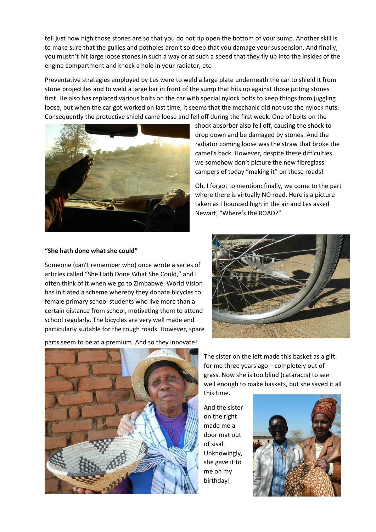tell just how high those stones are so that you do not rip open the bottom of your sump. Another skill is to make sure that the gullies and potholes aren't so deep that you damage your suspension. And finally, you mustn't hit large loose stones in such a way or at such a speed that they fly up into the insides of the engine compartment and knock a hole in your radiator, etc.

Preventative strategies employed by Les were to weld a large plate underneath the car to shield it from stone projectiles and to weld a large bar in front of the sump that hits up against those jutting stones first. He also has replaced various bolts on the car with special nylock bolts to keep things from juggling loose, but when the car got worked on last time, it seems that the mechanic did not use the nylock nuts. Consequently the protective shield came loose and fell off during the first week. One of bolts on the



shock absorber also fell off, causing the shock to drop down and be damaged by stones. And the radiator coming loose was the straw that broke the camel's back. However, despite these difficulties we somehow don't picture the new fibreglass campers of today "making it" on these roads!

Oh, I forgot to mention: finally, we come to the part where there is virtually NO road. Here is a picture taken as I bounced high in the air and Les asked Newart, "Where's the ROAD?"

## **"She hath done what she could"**

Someone (can't remember who) once wrote a series of articles called "She Hath Done What She Could," and I often think of it when we go to Zimbabwe. World Vision has initiated a scheme whereby they donate bicycles to female primary school students who live more than a certain distance from school, motivating them to attend school regularly. The bicycles are very well made and particularly suitable for the rough roads. However, spare



parts seem to be at a premium. And so they innovate!



The sister on the left made this basket as a gift for me three years ago – completely out of grass. Now she is too blind (cataracts) to see well enough to make baskets, but she saved it all this time.

And the sister on the right made me a door mat out of sisal. Unknowingly, she gave it to me on my birthday!